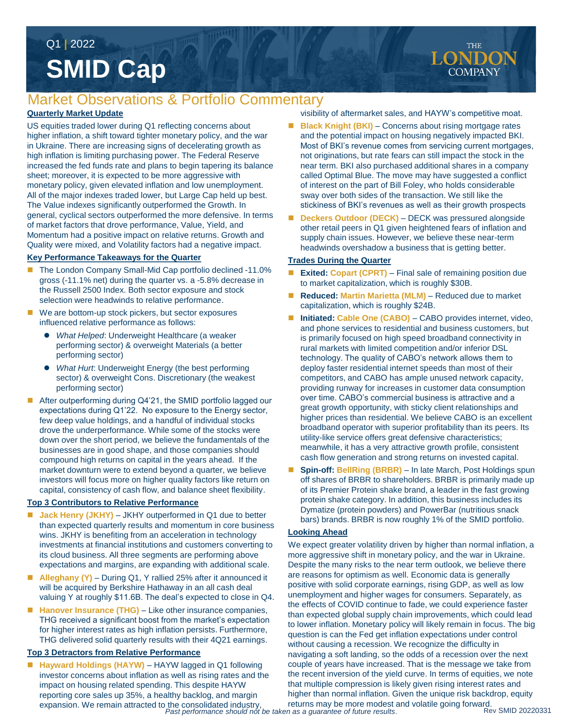# **SMID Cap** Q1 **|** 2022

# Market Observations & Portfolio Commentary

### **Quarterly Market Update**

US equities traded lower during Q1 reflecting concerns about higher inflation, a shift toward tighter monetary policy, and the war in Ukraine. There are increasing signs of decelerating growth as high inflation is limiting purchasing power. The Federal Reserve increased the fed funds rate and plans to begin tapering its balance sheet; moreover, it is expected to be more aggressive with monetary policy, given elevated inflation and low unemployment. All of the major indexes traded lower, but Large Cap held up best. The Value indexes significantly outperformed the Growth. In general, cyclical sectors outperformed the more defensive. In terms of market factors that drove performance, Value, Yield, and Momentum had a positive impact on relative returns. Growth and Quality were mixed, and Volatility factors had a negative impact.

#### **Key Performance Takeaways for the Quarter**

- The London Company Small-Mid Cap portfolio declined -11.0% gross (-11.1% net) during the quarter vs. a -5.8% decrease in the Russell 2500 Index. Both sector exposure and stock selection were headwinds to relative performance.
- We are bottom-up stock pickers, but sector exposures influenced relative performance as follows:
	- *What Helped*: Underweight Healthcare (a weaker performing sector) & overweight Materials (a better performing sector)
	- *What Hurt*: Underweight Energy (the best performing sector) & overweight Cons. Discretionary (the weakest performing sector)
- After outperforming during Q4'21, the SMID portfolio lagged our expectations during Q1'22. No exposure to the Energy sector, few deep value holdings, and a handful of individual stocks drove the underperformance. While some of the stocks were down over the short period, we believe the fundamentals of the businesses are in good shape, and those companies should compound high returns on capital in the years ahead. If the market downturn were to extend beyond a quarter, we believe investors will focus more on higher quality factors like return on capital, consistency of cash flow, and balance sheet flexibility.

#### **Top 3 Contributors to Relative Performance**

- **Jack Henry (JKHY)** JKHY outperformed in Q1 due to better than expected quarterly results and momentum in core business wins. JKHY is benefiting from an acceleration in technology investments at financial institutions and customers converting to its cloud business. All three segments are performing above expectations and margins, are expanding with additional scale.
- **Alleghany (Y)**  During Q1, Y rallied 25% after it announced it will be acquired by Berkshire Hathaway in an all cash deal valuing Y at roughly \$11.6B. The deal's expected to close in Q4.
- Hanover Insurance (THG) Like other insurance companies, THG received a significant boost from the market's expectation for higher interest rates as high inflation persists. Furthermore, THG delivered solid quarterly results with their 4Q21 earnings.

#### **Top 3 Detractors from Relative Performance**

*Past performance should not be taken as a guarantee of future results*. expansion. We remain attracted to the consolidated industry, ■ Hayward Holdings (HAYW) – HAYW lagged in Q1 following investor concerns about inflation as well as rising rates and the impact on housing related spending. This despite HAYW reporting core sales up 35%, a healthy backlog, and margin

visibility of aftermarket sales, and HAYW's competitive moat.

- **Black Knight (BKI)** Concerns about rising mortgage rates and the potential impact on housing negatively impacted BKI. Most of BKI's revenue comes from servicing current mortgages, not originations, but rate fears can still impact the stock in the near term. BKI also purchased additional shares in a company called Optimal Blue. The move may have suggested a conflict of interest on the part of Bill Foley, who holds considerable sway over both sides of the transaction. We still like the stickiness of BKI's revenues as well as their growth prospects
- **Deckers Outdoor (DECK)** DECK was pressured alongside other retail peers in Q1 given heightened fears of inflation and supply chain issues. However, we believe these near-term headwinds overshadow a business that is getting better.

#### **Trades During the Quarter**

- **Exited: Copart (CPRT)**  Final sale of remaining position due to market capitalization, which is roughly \$30B.
- Reduced: Martin Marietta (MLM) Reduced due to market capitalization, which is roughly \$24B.
- **Initiated: Cable One (CABO)**  CABO provides internet, video, and phone services to residential and business customers, but is primarily focused on high speed broadband connectivity in rural markets with limited competition and/or inferior DSL technology. The quality of CABO's network allows them to deploy faster residential internet speeds than most of their competitors, and CABO has ample unused network capacity, providing runway for increases in customer data consumption over time. CABO's commercial business is attractive and a great growth opportunity, with sticky client relationships and higher prices than residential. We believe CABO is an excellent broadband operator with superior profitability than its peers. Its utility-like service offers great defensive characteristics; meanwhile, it has a very attractive growth profile, consistent cash flow generation and strong returns on invested capital.
- **Spin-off: BellRing (BRBR)** In late March, Post Holdings spun off shares of BRBR to shareholders. BRBR is primarily made up of its Premier Protein shake brand, a leader in the fast growing protein shake category. In addition, this business includes its Dymatize (protein powders) and PowerBar (nutritious snack bars) brands. BRBR is now roughly 1% of the SMID portfolio.

#### **Looking Ahead**

We expect greater volatility driven by higher than normal inflation, a more aggressive shift in monetary policy, and the war in Ukraine. Despite the many risks to the near term outlook, we believe there are reasons for optimism as well. Economic data is generally positive with solid corporate earnings, rising GDP, as well as low unemployment and higher wages for consumers. Separately, as the effects of COVID continue to fade, we could experience faster than expected global supply chain improvements, which could lead to lower inflation. Monetary policy will likely remain in focus. The big question is can the Fed get inflation expectations under control without causing a recession. We recognize the difficulty in navigating a soft landing, so the odds of a recession over the next couple of years have increased. That is the message we take from the recent inversion of the yield curve. In terms of equities, we note that multiple compression is likely given rising interest rates and higher than normal inflation. Given the unique risk backdrop, equity returns may be more modest and volatile going forward.